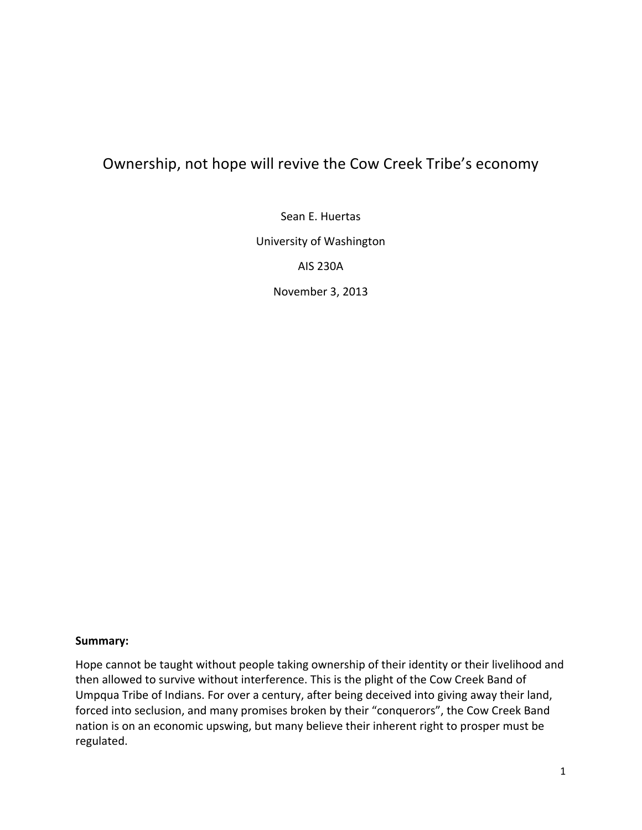# Ownership, not hope will revive the Cow Creek Tribe's economy

Sean E. Huertas

University of Washington

AIS 230A

November 3, 2013

#### **Summary:**

Hope cannot be taught without people taking ownership of their identity or their livelihood and then allowed to survive without interference. This is the plight of the Cow Creek Band of Umpqua Tribe of Indians. For over a century, after being deceived into giving away their land, forced into seclusion, and many promises broken by their "conquerors", the Cow Creek Band nation is on an economic upswing, but many believe their inherent right to prosper must be regulated.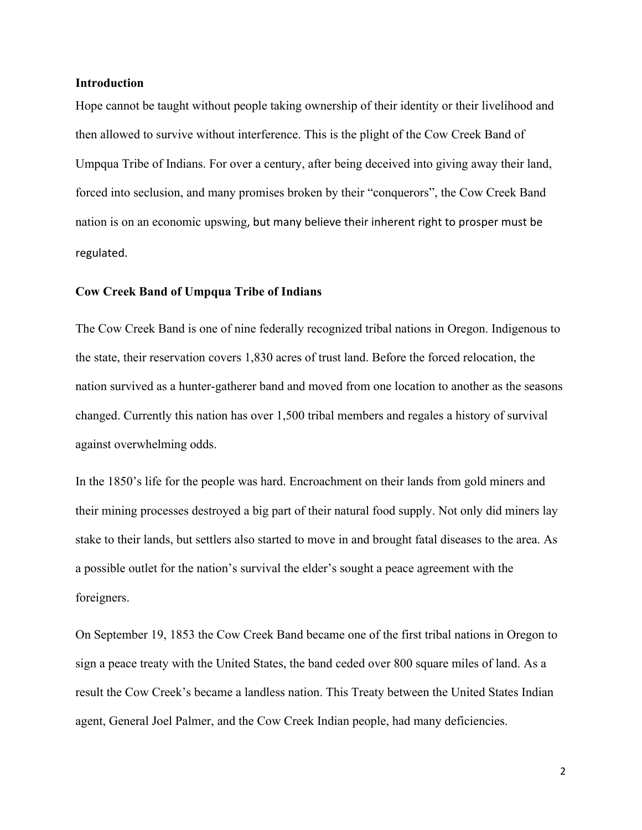#### **Introduction**

Hope cannot be taught without people taking ownership of their identity or their livelihood and then allowed to survive without interference. This is the plight of the Cow Creek Band of Umpqua Tribe of Indians. For over a century, after being deceived into giving away their land, forced into seclusion, and many promises broken by their "conquerors", the Cow Creek Band nation is on an economic upswing, but many believe their inherent right to prosper must be regulated.

#### **Cow Creek Band of Umpqua Tribe of Indians**

The Cow Creek Band is one of nine federally recognized tribal nations in Oregon. Indigenous to the state, their reservation covers 1,830 acres of trust land. Before the forced relocation, the nation survived as a hunter-gatherer band and moved from one location to another as the seasons changed. Currently this nation has over 1,500 tribal members and regales a history of survival against overwhelming odds.

In the 1850's life for the people was hard. Encroachment on their lands from gold miners and their mining processes destroyed a big part of their natural food supply. Not only did miners lay stake to their lands, but settlers also started to move in and brought fatal diseases to the area. As a possible outlet for the nation's survival the elder's sought a peace agreement with the foreigners.

On September 19, 1853 the Cow Creek Band became one of the first tribal nations in Oregon to sign a peace treaty with the United States, the band ceded over 800 square miles of land. As a result the Cow Creek's became a landless nation. This Treaty between the United States Indian agent, General Joel Palmer, and the Cow Creek Indian people, had many deficiencies.

2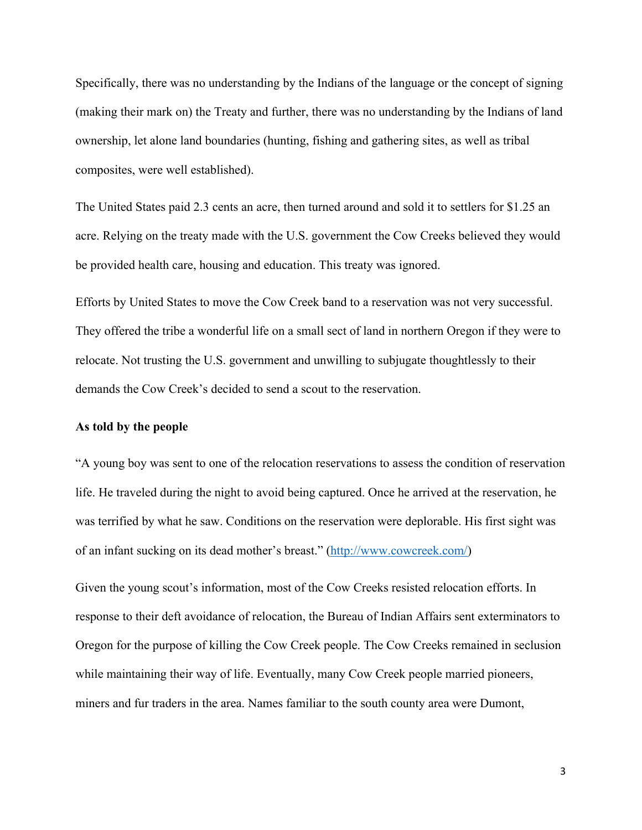Specifically, there was no understanding by the Indians of the language or the concept of signing (making their mark on) the Treaty and further, there was no understanding by the Indians of land ownership, let alone land boundaries (hunting, fishing and gathering sites, as well as tribal composites, were well established).

The United States paid 2.3 cents an acre, then turned around and sold it to settlers for \$1.25 an acre. Relying on the treaty made with the U.S. government the Cow Creeks believed they would be provided health care, housing and education. This treaty was ignored.

Efforts by United States to move the Cow Creek band to a reservation was not very successful. They offered the tribe a wonderful life on a small sect of land in northern Oregon if they were to relocate. Not trusting the U.S. government and unwilling to subjugate thoughtlessly to their demands the Cow Creek's decided to send a scout to the reservation.

## **As told by the people**

"A young boy was sent to one of the relocation reservations to assess the condition of reservation life. He traveled during the night to avoid being captured. Once he arrived at the reservation, he was terrified by what he saw. Conditions on the reservation were deplorable. His first sight was of an infant sucking on its dead mother's breast." (http://www.cowcreek.com/)

Given the young scout's information, most of the Cow Creeks resisted relocation efforts. In response to their deft avoidance of relocation, the Bureau of Indian Affairs sent exterminators to Oregon for the purpose of killing the Cow Creek people. The Cow Creeks remained in seclusion while maintaining their way of life. Eventually, many Cow Creek people married pioneers, miners and fur traders in the area. Names familiar to the south county area were Dumont,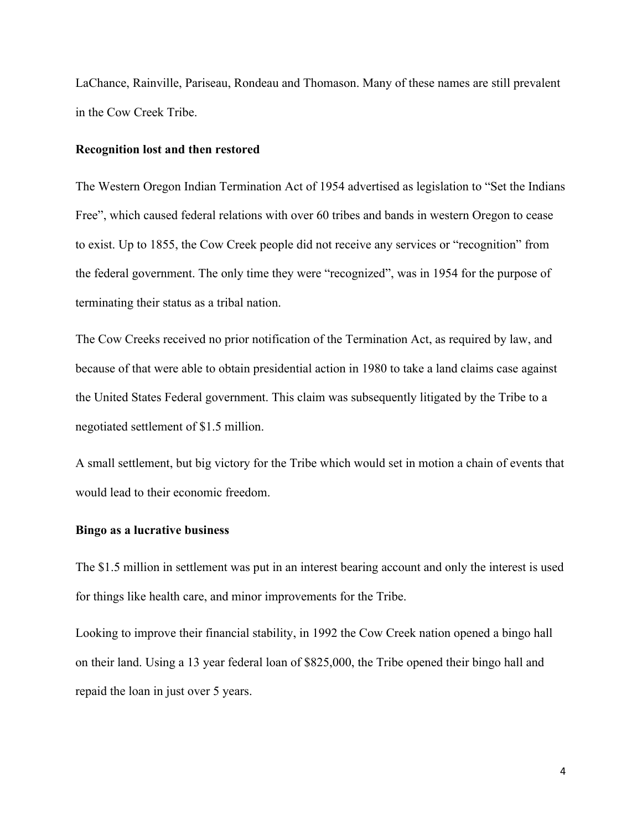LaChance, Rainville, Pariseau, Rondeau and Thomason. Many of these names are still prevalent in the Cow Creek Tribe.

## **Recognition lost and then restored**

The Western Oregon Indian Termination Act of 1954 advertised as legislation to "Set the Indians Free", which caused federal relations with over 60 tribes and bands in western Oregon to cease to exist. Up to 1855, the Cow Creek people did not receive any services or "recognition" from the federal government. The only time they were "recognized", was in 1954 for the purpose of terminating their status as a tribal nation.

The Cow Creeks received no prior notification of the Termination Act, as required by law, and because of that were able to obtain presidential action in 1980 to take a land claims case against the United States Federal government. This claim was subsequently litigated by the Tribe to a negotiated settlement of \$1.5 million.

A small settlement, but big victory for the Tribe which would set in motion a chain of events that would lead to their economic freedom.

## **Bingo as a lucrative business**

The \$1.5 million in settlement was put in an interest bearing account and only the interest is used for things like health care, and minor improvements for the Tribe.

Looking to improve their financial stability, in 1992 the Cow Creek nation opened a bingo hall on their land. Using a 13 year federal loan of \$825,000, the Tribe opened their bingo hall and repaid the loan in just over 5 years.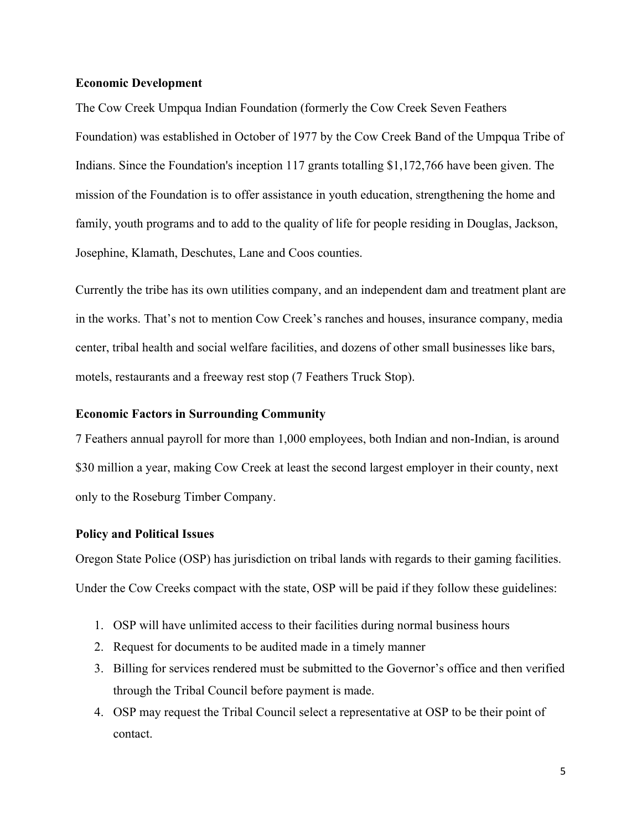## **Economic Development**

The Cow Creek Umpqua Indian Foundation (formerly the Cow Creek Seven Feathers Foundation) was established in October of 1977 by the Cow Creek Band of the Umpqua Tribe of Indians. Since the Foundation's inception 117 grants totalling \$1,172,766 have been given. The mission of the Foundation is to offer assistance in youth education, strengthening the home and family, youth programs and to add to the quality of life for people residing in Douglas, Jackson, Josephine, Klamath, Deschutes, Lane and Coos counties.

Currently the tribe has its own utilities company, and an independent dam and treatment plant are in the works. That's not to mention Cow Creek's ranches and houses, insurance company, media center, tribal health and social welfare facilities, and dozens of other small businesses like bars, motels, restaurants and a freeway rest stop (7 Feathers Truck Stop).

# **Economic Factors in Surrounding Community**

7 Feathers annual payroll for more than 1,000 employees, both Indian and non-Indian, is around \$30 million a year, making Cow Creek at least the second largest employer in their county, next only to the Roseburg Timber Company.

## **Policy and Political Issues**

Oregon State Police (OSP) has jurisdiction on tribal lands with regards to their gaming facilities. Under the Cow Creeks compact with the state, OSP will be paid if they follow these guidelines:

- 1. OSP will have unlimited access to their facilities during normal business hours
- 2. Request for documents to be audited made in a timely manner
- 3. Billing for services rendered must be submitted to the Governor's office and then verified through the Tribal Council before payment is made.
- 4. OSP may request the Tribal Council select a representative at OSP to be their point of contact.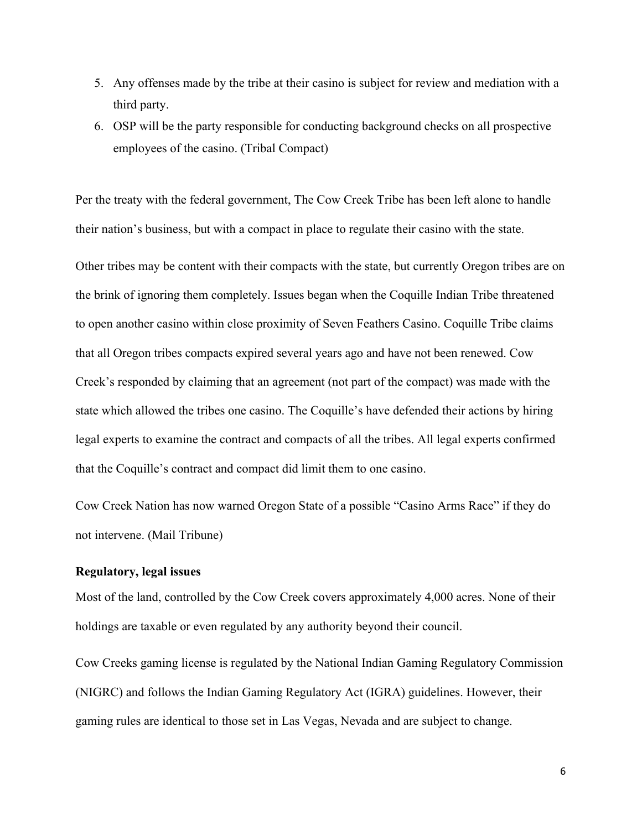- 5. Any offenses made by the tribe at their casino is subject for review and mediation with a third party.
- 6. OSP will be the party responsible for conducting background checks on all prospective employees of the casino. (Tribal Compact)

Per the treaty with the federal government, The Cow Creek Tribe has been left alone to handle their nation's business, but with a compact in place to regulate their casino with the state.

Other tribes may be content with their compacts with the state, but currently Oregon tribes are on the brink of ignoring them completely. Issues began when the Coquille Indian Tribe threatened to open another casino within close proximity of Seven Feathers Casino. Coquille Tribe claims that all Oregon tribes compacts expired several years ago and have not been renewed. Cow Creek's responded by claiming that an agreement (not part of the compact) was made with the state which allowed the tribes one casino. The Coquille's have defended their actions by hiring legal experts to examine the contract and compacts of all the tribes. All legal experts confirmed that the Coquille's contract and compact did limit them to one casino.

Cow Creek Nation has now warned Oregon State of a possible "Casino Arms Race" if they do not intervene. (Mail Tribune)

# **Regulatory, legal issues**

Most of the land, controlled by the Cow Creek covers approximately 4,000 acres. None of their holdings are taxable or even regulated by any authority beyond their council.

Cow Creeks gaming license is regulated by the National Indian Gaming Regulatory Commission (NIGRC) and follows the Indian Gaming Regulatory Act (IGRA) guidelines. However, their gaming rules are identical to those set in Las Vegas, Nevada and are subject to change.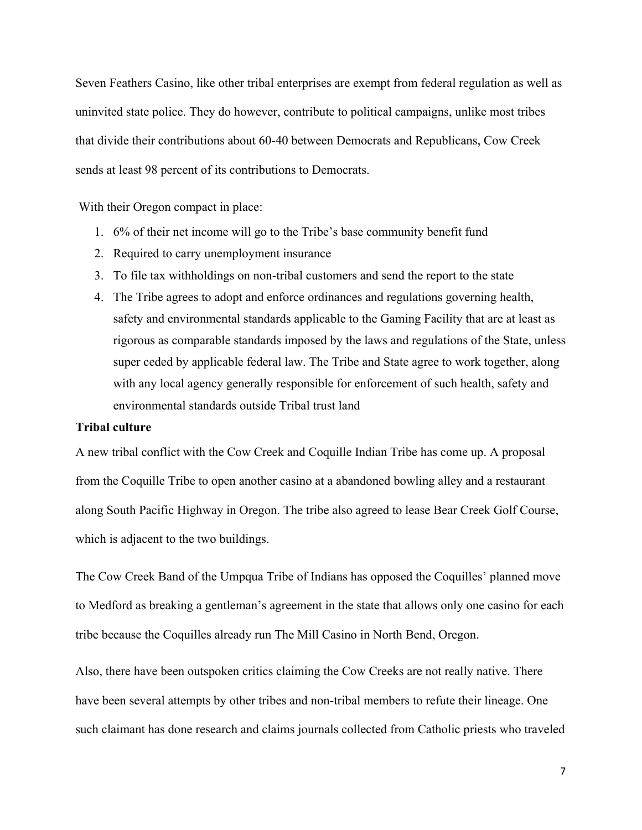Seven Feathers Casino, like other tribal enterprises are exempt from federal regulation as well as uninvited state police. They do however, contribute to political campaigns, unlike most tribes that divide their contributions about 60-40 between Democrats and Republicans, Cow Creek sends at least 98 percent of its contributions to Democrats.

With their Oregon compact in place:

- 1. 6% of their net income will go to the Tribe's base community benefit fund
- 2. Required to carry unemployment insurance
- 3. To file tax withholdings on non-tribal customers and send the report to the state
- 4. The Tribe agrees to adopt and enforce ordinances and regulations governing health, safety and environmental standards applicable to the Gaming Facility that are at least as rigorous as comparable standards imposed by the laws and regulations of the State, unless super ceded by applicable federal law. The Tribe and State agree to work together, along with any local agency generally responsible for enforcement of such health, safety and environmental standards outside Tribal trust land

# **Tribal culture**

A new tribal conflict with the Cow Creek and Coquille Indian Tribe has come up. A proposal from the Coquille Tribe to open another casino at a abandoned bowling alley and a restaurant along South Pacific Highway in Oregon. The tribe also agreed to lease Bear Creek Golf Course, which is adjacent to the two buildings.

The Cow Creek Band of the Umpqua Tribe of Indians has opposed the Coquilles' planned move to Medford as breaking a gentleman's agreement in the state that allows only one casino for each tribe because the Coquilles already run The Mill Casino in North Bend, Oregon.

Also, there have been outspoken critics claiming the Cow Creeks are not really native. There have been several attempts by other tribes and non-tribal members to refute their lineage. One such claimant has done research and claims journals collected from Catholic priests who traveled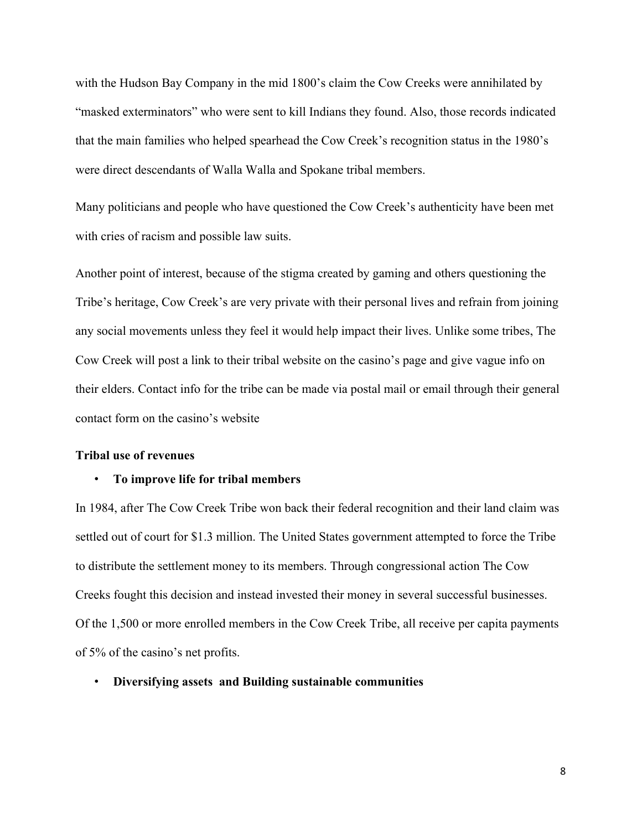with the Hudson Bay Company in the mid 1800's claim the Cow Creeks were annihilated by "masked exterminators" who were sent to kill Indians they found. Also, those records indicated that the main families who helped spearhead the Cow Creek's recognition status in the 1980's were direct descendants of Walla Walla and Spokane tribal members.

Many politicians and people who have questioned the Cow Creek's authenticity have been met with cries of racism and possible law suits.

Another point of interest, because of the stigma created by gaming and others questioning the Tribe's heritage, Cow Creek's are very private with their personal lives and refrain from joining any social movements unless they feel it would help impact their lives. Unlike some tribes, The Cow Creek will post a link to their tribal website on the casino's page and give vague info on their elders. Contact info for the tribe can be made via postal mail or email through their general contact form on the casino's website

## **Tribal use of revenues**

#### • **To improve life for tribal members**

In 1984, after The Cow Creek Tribe won back their federal recognition and their land claim was settled out of court for \$1.3 million. The United States government attempted to force the Tribe to distribute the settlement money to its members. Through congressional action The Cow Creeks fought this decision and instead invested their money in several successful businesses. Of the 1,500 or more enrolled members in the Cow Creek Tribe, all receive per capita payments of 5% of the casino's net profits.

## • **Diversifying assets and Building sustainable communities**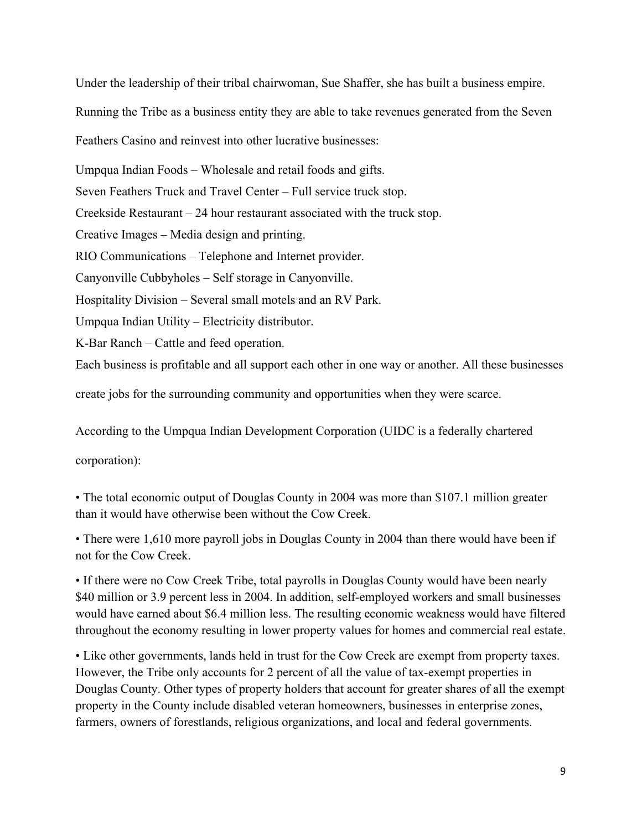Under the leadership of their tribal chairwoman, Sue Shaffer, she has built a business empire. Running the Tribe as a business entity they are able to take revenues generated from the Seven Feathers Casino and reinvest into other lucrative businesses: Umpqua Indian Foods – Wholesale and retail foods and gifts. Seven Feathers Truck and Travel Center – Full service truck stop. Creekside Restaurant – 24 hour restaurant associated with the truck stop. Creative Images – Media design and printing. RIO Communications – Telephone and Internet provider. Canyonville Cubbyholes – Self storage in Canyonville. Hospitality Division – Several small motels and an RV Park. Umpqua Indian Utility – Electricity distributor.

K-Bar Ranch – Cattle and feed operation.

Each business is profitable and all support each other in one way or another. All these businesses

create jobs for the surrounding community and opportunities when they were scarce.

According to the Umpqua Indian Development Corporation (UIDC is a federally chartered

corporation):

• The total economic output of Douglas County in 2004 was more than \$107.1 million greater than it would have otherwise been without the Cow Creek.

• There were 1,610 more payroll jobs in Douglas County in 2004 than there would have been if not for the Cow Creek.

• If there were no Cow Creek Tribe, total payrolls in Douglas County would have been nearly \$40 million or 3.9 percent less in 2004. In addition, self-employed workers and small businesses would have earned about \$6.4 million less. The resulting economic weakness would have filtered throughout the economy resulting in lower property values for homes and commercial real estate.

• Like other governments, lands held in trust for the Cow Creek are exempt from property taxes. However, the Tribe only accounts for 2 percent of all the value of tax-exempt properties in Douglas County. Other types of property holders that account for greater shares of all the exempt property in the County include disabled veteran homeowners, businesses in enterprise zones, farmers, owners of forestlands, religious organizations, and local and federal governments.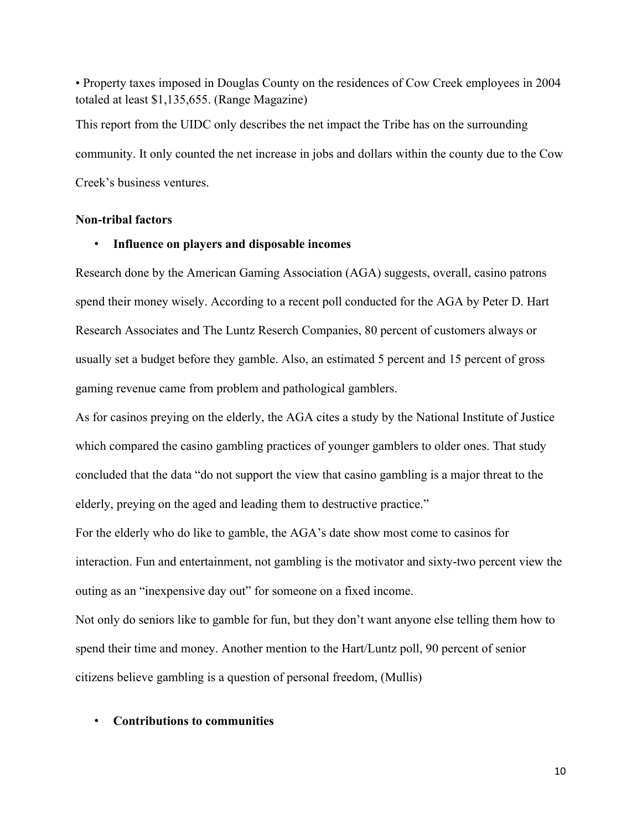• Property taxes imposed in Douglas County on the residences of Cow Creek employees in 2004 totaled at least \$1,135,655. (Range Magazine)

This report from the UIDC only describes the net impact the Tribe has on the surrounding community. It only counted the net increase in jobs and dollars within the county due to the Cow Creek's business ventures.

## **Non-tribal factors**

## • **Influence on players and disposable incomes**

Research done by the American Gaming Association (AGA) suggests, overall, casino patrons spend their money wisely. According to a recent poll conducted for the AGA by Peter D. Hart Research Associates and The Luntz Reserch Companies, 80 percent of customers always or usually set a budget before they gamble. Also, an estimated 5 percent and 15 percent of gross gaming revenue came from problem and pathological gamblers.

As for casinos preying on the elderly, the AGA cites a study by the National Institute of Justice which compared the casino gambling practices of younger gamblers to older ones. That study concluded that the data "do not support the view that casino gambling is a major threat to the elderly, preying on the aged and leading them to destructive practice."

For the elderly who do like to gamble, the AGA's date show most come to casinos for interaction. Fun and entertainment, not gambling is the motivator and sixty-two percent view the outing as an "inexpensive day out" for someone on a fixed income.

Not only do seniors like to gamble for fun, but they don't want anyone else telling them how to spend their time and money. Another mention to the Hart/Luntz poll, 90 percent of senior citizens believe gambling is a question of personal freedom, (Mullis)

## • **Contributions to communities**

10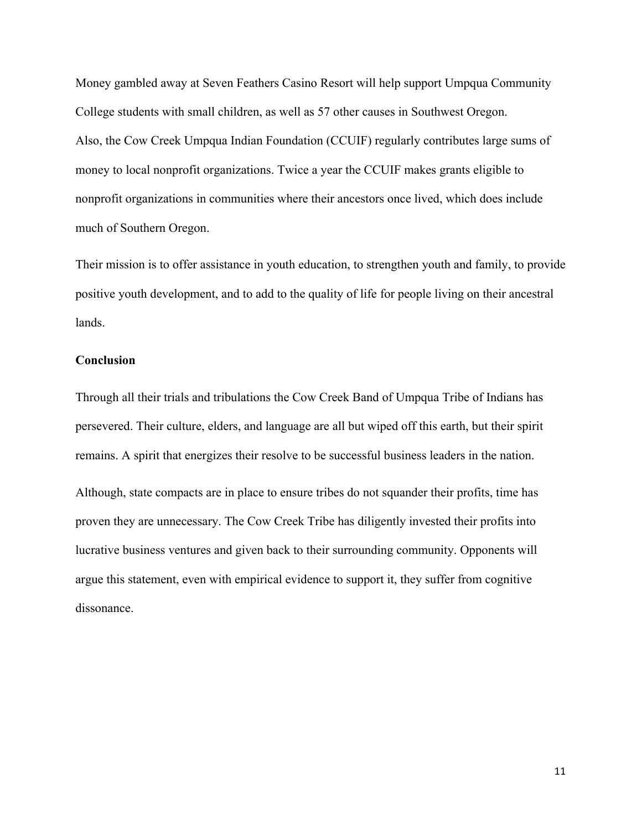Money gambled away at Seven Feathers Casino Resort will help support Umpqua Community College students with small children, as well as 57 other causes in Southwest Oregon. Also, the Cow Creek Umpqua Indian Foundation (CCUIF) regularly contributes large sums of money to local nonprofit organizations. Twice a year the CCUIF makes grants eligible to nonprofit organizations in communities where their ancestors once lived, which does include much of Southern Oregon.

Their mission is to offer assistance in youth education, to strengthen youth and family, to provide positive youth development, and to add to the quality of life for people living on their ancestral lands.

## **Conclusion**

Through all their trials and tribulations the Cow Creek Band of Umpqua Tribe of Indians has persevered. Their culture, elders, and language are all but wiped off this earth, but their spirit remains. A spirit that energizes their resolve to be successful business leaders in the nation.

Although, state compacts are in place to ensure tribes do not squander their profits, time has proven they are unnecessary. The Cow Creek Tribe has diligently invested their profits into lucrative business ventures and given back to their surrounding community. Opponents will argue this statement, even with empirical evidence to support it, they suffer from cognitive dissonance.